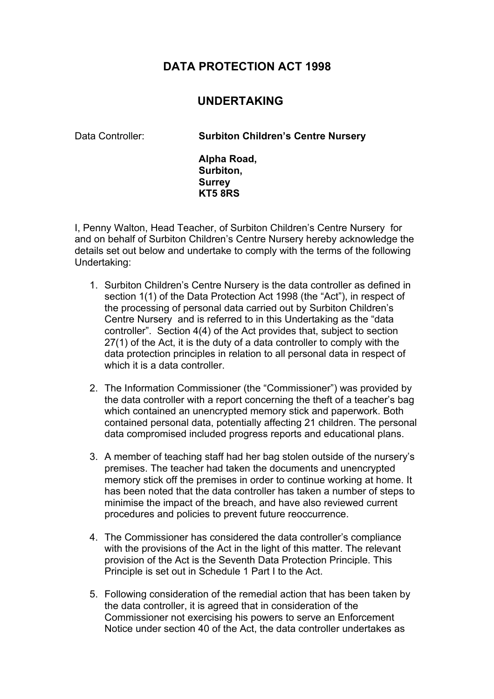## **DATA PROTECTION ACT 1998**

## **UNDERTAKING**

Data Controller: **Surbiton Children's Centre Nursery** 

**Alpha Road, Surbiton, Surrey KT5 8RS**

I, Penny Walton, Head Teacher, of Surbiton Children's Centre Nursery for and on behalf of Surbiton Children's Centre Nursery hereby acknowledge the details set out below and undertake to comply with the terms of the following Undertaking:

- 1. Surbiton Children's Centre Nursery is the data controller as defined in section 1(1) of the Data Protection Act 1998 (the "Act"), in respect of the processing of personal data carried out by Surbiton Children's Centre Nursery and is referred to in this Undertaking as the "data controller". Section 4(4) of the Act provides that, subject to section 27(1) of the Act, it is the duty of a data controller to comply with the data protection principles in relation to all personal data in respect of which it is a data controller.
- 2. The Information Commissioner (the "Commissioner") was provided by the data controller with a report concerning the theft of a teacher's bag which contained an unencrypted memory stick and paperwork. Both contained personal data, potentially affecting 21 children. The personal data compromised included progress reports and educational plans.
- 3. A member of teaching staff had her bag stolen outside of the nursery's premises. The teacher had taken the documents and unencrypted memory stick off the premises in order to continue working at home. It has been noted that the data controller has taken a number of steps to minimise the impact of the breach, and have also reviewed current procedures and policies to prevent future reoccurrence.
- 4. The Commissioner has considered the data controller's compliance with the provisions of the Act in the light of this matter. The relevant provision of the Act is the Seventh Data Protection Principle. This Principle is set out in Schedule 1 Part I to the Act.
- 5. Following consideration of the remedial action that has been taken by the data controller, it is agreed that in consideration of the Commissioner not exercising his powers to serve an Enforcement Notice under section 40 of the Act, the data controller undertakes as